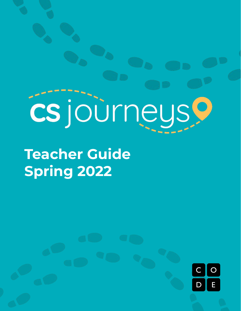# cs journeus.

**Teacher Guide Spring 2022**

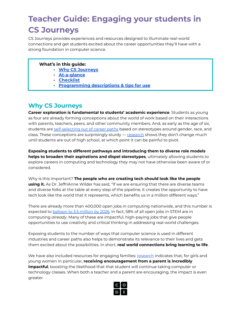# **Teacher Guide: Engaging your students in CS Journeys**

CS Journeys provides experiences and resources designed to illuminate real-world connections and get students excited about the career opportunities they'll have with a strong foundation in computer science.

### **What's in this guide:**

- **- Why CS [Journeys](#page-1-0)**
- **- [At-a-glance](#page-2-0)**
- **- [Checklist](#page-3-0)**
- **- [Programming](#page-4-0) descriptions & tips for use**

# <span id="page-1-0"></span>**Why CS Journeys**

**Career exploration is fundamental to students' academic experience**. Students as young as four are already forming conceptions about the world of work based on their interactions with parents, teachers, peers, and other community members. And, as early as the age of six, students are [self-selecting](https://www.bbc.com/news/education-50042459) out of career paths based on stereotypes around gender, race, and class. These conceptions are surprisingly sturdy — [research](https://www.educationandemployers.org/wp-content/uploads/2021/03/Starting-early-Building-the-foundations-for-success.pdf) shows they don't change much until students are out of high school, at which point it can be painful to pivot.

**Exposing students to different pathways and introducing them to diverse role models helps to broaden their aspirations and dispel stereotypes**, ultimately allowing students to explore careers in computing and technology they may not have otherwise been aware of or considered.

Why is this important? **The people who are creating tech should look like the people using it.** As Dr. JeffriAnne Wilder has said, "If we are ensuring that there are diverse teams and diverse folks at the table at every step of the pipeline, it creates the opportunity to have tech look like the world that it represents, which benefits us in a million different ways."

There are already more than 400,000 open jobs in computing nationwide, and this number is expected to **[balloon](https://ncwit.org/resource/csedguide/) to 3.5 million by 2026**. In fact, 58% of all open jobs in STEM are in computing *already*. Many of these are impactful, high-paying jobs that give people opportunities to use creativity and critical thinking in addressing real-world challenges.

Exposing students to the number of ways that computer science is used in different industries and career paths also helps to demonstrate its relevance to their lives and gets them excited about the possibilities. In short, **real world connections bring learning to life**.

We have also included resources for engaging families: [research](https://query.prod.cms.rt.microsoft.com/cms/api/am/binary/RE1UMWz) indicates that, for girls and young women in particular, **receiving encouragement from a parent is incredibly impactful**, boosting the likelihood that that student will continue taking computer or technology classes. When both a teacher and a parent are encouraging, the impact is even greater.

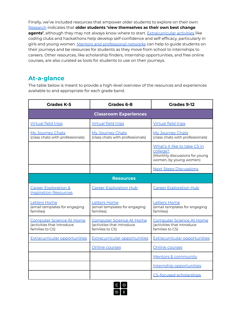Finally, we've included resources that empower older students to explore on their own: [Research](https://www.equitablefutures.org/wp-content/uploads/2020/09/Striving-to-Thriving-Report-in-Brief-Sept-2020-Updated.pdf) indicates that **older students 'view themselves as their own best change agents'**, although they may not always know where to start. [Extracurricular](https://code.org/beyond/extracurricular) activities like coding clubs and hackathons help develop self-confidence and self-efficacy, particularly in girls and young women. Mentors and [professional](https://code.org/beyond/mentors-and-community) networks can help to guide students on their journeys and be resources for students as they move from school to internships to careers. Other resources, like scholarship finders, internship opportunities, and free online courses, are also curated as tools for students to use on their journeys.

# <span id="page-2-0"></span>**At-a-glance**

The table below is meant to provide a high-level overview of the resources and experiences available to and appropriate for each grade band.

| Grades K-5                                                                       | Grades 6-8                                                                       | Grades 9-12                                                                                          |
|----------------------------------------------------------------------------------|----------------------------------------------------------------------------------|------------------------------------------------------------------------------------------------------|
| <b>Classroom Experiences</b>                                                     |                                                                                  |                                                                                                      |
| <b>Virtual field trips</b>                                                       | <b>Virtual field trips</b>                                                       | <b>Virtual field trips</b>                                                                           |
| My Journey Chats<br>(class chats with professionals)                             | My Journey Chats<br>(class chats with professionals)                             | My Journey Chats<br>(class chats with professionals)                                                 |
|                                                                                  |                                                                                  | What's it like to take CS in<br>college?<br>(Monthly discussions for young<br>women, by young women) |
|                                                                                  |                                                                                  | <b>Next Steps Discussions</b>                                                                        |
| <b>Resources</b>                                                                 |                                                                                  |                                                                                                      |
| <b>Career Exploration &amp;</b><br><b>Inspiration Resources</b>                  | <b>Career Exploration Hub</b>                                                    | <b>Career Exploration Hub</b>                                                                        |
| <b>Letters Home</b><br>(email templates for engaging<br>families)                | <b>Letters Home</b><br>(email templates for engaging<br>families)                | <b>Letters Home</b><br>(email templates for engaging<br>families)                                    |
| <b>Computer Science At Home</b><br>(activities that introduce<br>families to CS) | <b>Computer Science At Home</b><br>(activities that introduce<br>families to CS) | <b>Computer Science At Home</b><br>(activities that introduce<br>families to CS)                     |
| <b>Extracurricular opportunities</b>                                             | <b>Extracurricular opportunities</b>                                             | <b>Extracurricular opportunities</b>                                                                 |
|                                                                                  | Online courses                                                                   | Online courses                                                                                       |
|                                                                                  |                                                                                  | Mentors & community                                                                                  |
|                                                                                  |                                                                                  | Internship opportunities                                                                             |
|                                                                                  |                                                                                  | <b>CS-focused scholarships</b>                                                                       |

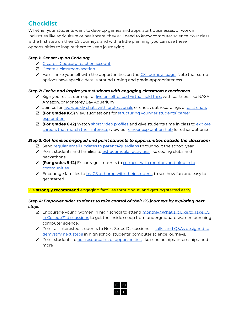# <span id="page-3-0"></span>**Checklist**

Whether your students want to develop games and apps, start businesses, or work in industries like agriculture or healthcare, they will need to know computer science. Your class is the first step on their CS Journeys, and with a little planning, you can use these opportunities to inspire them to keep journeying.

### *Step 1: Get set up on Code.org*

- ☑ Create a [Code.org](https://support.code.org/hc/en-us/articles/228116468-I-d-like-to-start-using-Code-org-in-my-classroom-How-should-I-start-) teacher account
- ☑ Create a [classroom](https://support.code.org/hc/en-us/articles/115000488132-Creating-a-classroom-section) section
- ☑ Familiarize yourself with the opportunities on the CS [Journeys](https://code.org/csjourneys) page. Note that some options have specific details around timing and grade-appropriateness.

### *Step 2: Excite and inspire your students with engaging classroom experiences*

- **☑** Sign your classroom up for live or [self-paced](https://code.org/csjourneys/csadventures#trips) virtual field trips with partners like NASA, Amazon, or Monterey Bay Aquarium
- ☑ Join us for live weekly chats with [professionals](https://code.org/csjourneys/csadventures#chats) or check out recordings of past [chats](https://code.org/csjourneys/pastchats)
- ☑ **(For grades K-5)** View suggestions for [structuring](https://code.org/careers-with-cs/k5) younger students' career [exploration](https://code.org/careers-with-cs/k5)
- ☑ **(For grades 6-12)** Watch short video [profiles](https://code.org/careers-with-cs#videos) and give students time in class to [explore](https://code.org/careers-with-cs#explore) careers that match their [interests](https://code.org/careers-with-cs#explore) (view our career [exploration](https://code.org/careers-with-cs) hub for other options)

### *Step 3: Get families engaged and point students to opportunities outside the classroom*

- ☑ Send regular email updates to [parents/guardians](https://code.org/csjourneys/engage-parents) throughout the school year
- ☑ Point students and families to [extracurricular](https://code.org/beyond/extracurricular) activities like coding clubs and hackathons
- ☑ **(For grades 9-12)** Encourage students to connect with [mentors](https://code.org/beyond/mentors-and-community) and plug in to **[communities](https://code.org/beyond/mentors-and-community)**
- ☑ Encourage families to try CS at home with their [student](https://code.org/athome), to see how fun and easy to get started

We **strongly recommend** engaging families throughout, and getting started early.

### *Step 4: Empower older students to take control of their CS journeys by exploring next steps*

- ☑ Encourage young women in high school to attend [monthly](https://code.org/csjourneys/cs-in-college) "What's It Like to Take CS in College?" [discussions](https://code.org/csjourneys/cs-in-college) to get the inside scoop from undergraduate women pursuing computer science.
- ☑ Point all interested students to Next Steps Discussions talks and Q&As [designed](https://code.org/csjourneys/nextsteps) to [demystify](https://code.org/csjourneys/nextsteps) next steps in high school students' computer science journeys.
- ☑ Point students to our resource list of [opportunities](https://code.org/beyond) like scholarships, internships, and more

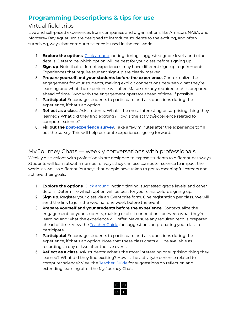# <span id="page-4-0"></span>**Programming Descriptions & tips for use**

# Virtual field trips

Live and self-paced experiences from companies and organizations like Amazon, NASA, and Monterey Bay Aquarium are designed to introduce students to the exciting, and often surprising, ways that computer science is used in the real world.

- 1. **Explore the options**. Click [around](https://code.org/csjourneys/csadventures#trips), noting timing, suggested grade levels, and other details. Determine which option will be best for your class before signing up.
- 2. **Sign up**. Note that different experiences may have different sign-up requirements. Experiences that require student sign-up are clearly marked.
- 3. **Prepare yourself and your students before the experience.** Contextualize the engagement for your students, making explicit connections between what they're learning and what the experience will offer. Make sure any required tech is prepared ahead of time. Sync with the engagement operator ahead of time, if possible.
- 4. **Participate!** Encourage students to participate and ask questions during the experience, if that's an option.
- 5. **Reflect as a class**. Ask students: What's the most interesting or surprising thing they learned? What did they find exciting? How is the activity/experience related to computer science?
- 6. **Fill out the [post-experience](https://studio.code.org/form/csjourneys_spring2022) survey**. Take a few minutes after the experience to fill out the survey. This will help us curate experiences going forward.

# My Journey Chats — weekly conversations with professionals

Weekly discussions with professionals are designed to expose students to different pathways. Students will learn about a number of ways they can use computer science to impact the world, as well as different journeys that people have taken to get to meaningful careers and achieve their goals.

- 1. **Explore the options**. Click [around](https://code.org/csjourneys/csadventures#chats), noting timing, suggested grade levels, and other details. Determine which option will be best for your class before signing up.
- 2. **Sign up**. Register your class via an Eventbrite form. One registration per class. We will send the link to join the webinar one week before the event.
- 3. **Prepare yourself and your students before the experience.** Contextualize the engagement for your students, making explicit connections between what they're learning and what the experience will offer. Make sure any required tech is prepared ahead of time. View the [Teacher](https://code.org/csjourneys/csadventures#chats) Guide for suggestions on preparing your class to participate.
- 4. **Participate!** Encourage students to participate and ask questions during the experience, if that's an option. Note that these class chats will be available as recordings a day or two after the live event.
- 5. **Reflect as a class**. Ask students: What's the most interesting or surprising thing they learned? What did they find exciting? How is the activity/experience related to computer science? View the [Teacher](https://code.org/csjourneys/csadventures#chats) Guide for suggestions on reflection and extending learning after the My Journey Chat.

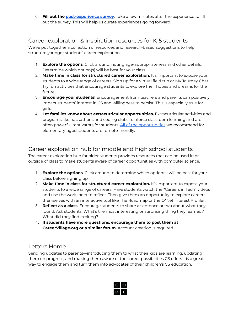6. **Fill out the [post-experience](https://studio.code.org/form/csjourneys_spring2022) survey**. Take a few minutes after the experience to fill out the survey. This will help us curate experiences going forward.

# Career exploration & inspiration resources for K-5 students

We've put together a collection of resources and research-based suggestions to help structure younger students' career exploration.

- 1. **Explore the options**. Click around, noting age-appropriateness and other details. Determine which option(s) will be best for your class.
- 2. **Make time in class for structured career exploration.** It's important to expose your students to a wide range of careers. Sign up for a virtual field trip or My Journey Chat. Try fun activities that encourage students to explore their hopes and dreams for the future.
- 3. **Encourage your students!** Encouragement from teachers and parents can positively impact students' interest in CS and willingness to persist. This is especially true for girls.
- 4. **Let families know about extracurricular opportunities.** Extracurricular activities and programs like hackathons and coding clubs reinforce classroom learning and are often powerful motivators for students. All of the [opportunities](https://code.org/careers-with-cs/k5#extracurricular) we recommend for elementary-aged students are remote-friendly.

# Career exploration hub for middle and high school students

The career exploration hub for older students provides resources that can be used in or outside of class to make students aware of career opportunities with computer science.

- 1. **Explore the options**. Click around to determine which option(s) will be best for your class before signing up.
- 2. **Make time in class for structured career exploration.** It's important to expose your students to a wide range of careers. Have students watch the "Careers in Tech" videos and use the worksheet to reflect. Then give them an opportunity to explore careers themselves with an interactive tool like The Roadmap or the O\*Net Interest Profiler.
- 3. **Reflect as a class**. Encourage students to share a sentence or two about what they found. Ask students: What's the most interesting or surprising thing they learned? What did they find exciting?
- 4. **If students have more questions, encourage them to post them at CareerVillage.org or a similar forum**. Account creation is required.

## Letters Home

Sending updates to parents—introducing them to what their kids are learning, updating them on progress, and making them aware of the career possibilities CS offers—is a great way to engage them and turn them into advocates of their children's CS education.

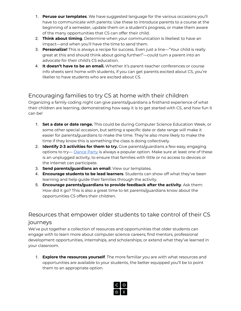- 1. **Peruse our templates**. We have suggested language for the various occasions you'll have to communicate with parents: Use these to introduce parents to a course at the beginning of a semester, update them on a student's progress, or make them aware of the many opportunities that CS can offer their child.
- 2. **Think about timing**. Determine when your communication is likeliest to have an impact—and when you'll have the time to send them.
- 3. **Personalize!** This is always a recipe for success. Even just a line—"Your child is really great at this and should think about going further!"—could turn a parent into an advocate for their child's CS education.
- 4. **It doesn't have to be an email.** Whether it's parent-teacher conferences or course info sheets sent home with students, if you can get parents excited about CS, you're likelier to have students who are excited about CS.

# Encouraging families to try CS at home with their children

Organizing a family coding night can give parents/guardians a firsthand experience of what their children are learning, demonstrating how easy it is to get started with CS, and how fun it can be!

- 1. **Set a date or date range.** This could be during Computer Science Education Week, or some other special occasion, but setting a specific date or date range will make it easier for parents/guardians to make the time. They're also more likely to make the time if they know this is something the class is doing collectively.
- 2. **Identify 2-3 activities for them to try.** Give parents/guardians a few easy, engaging options to try— [Dance](https://code.org/dance) Party is always a popular option. Make sure at least one of these is an unplugged activity, to ensure that families with little or no access to devices or the internet can participate.
- 3. **Send parents/guardians an email**. View our templates.
- 4. **Encourage students to be lead learners**. Students can show off what they've been learning and help guide their families through the activity.
- 5. **Encourage parents/guardians to provide feedback after the activity**. Ask them: How did it go? This is also a great time to let parents/guardians know about the opportunities CS offers their children.

# Resources that empower older students to take control of their CS journeys

We've put together a collection of resources and opportunities that older students can engage with to learn more about computer science careers; find mentors, professional development opportunities, internships, and scholarships; or extend what they've learned in your classroom.

1. **Explore the resources yourself**. The more familiar you are with what resources and opportunities are available to your students, the better equipped you'll be to point them to an appropriate option.